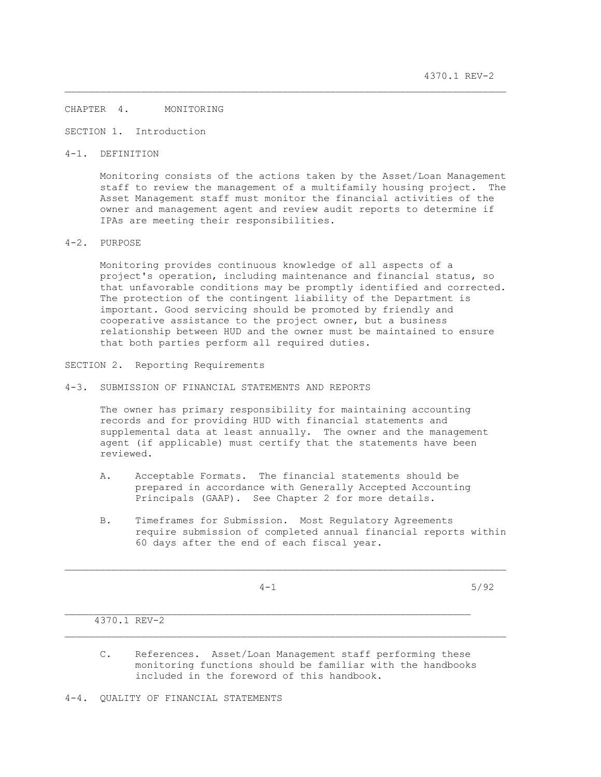### CHAPTER 4. MONITORING

SECTION 1. Introduction

4-1. DEFINITION

 Monitoring consists of the actions taken by the Asset/Loan Management staff to review the management of a multifamily housing project. The Asset Management staff must monitor the financial activities of the owner and management agent and review audit reports to determine if IPAs are meeting their responsibilities.

\_\_\_\_\_\_\_\_\_\_\_\_\_\_\_\_\_\_\_\_\_\_\_\_\_\_\_\_\_\_\_\_\_\_\_\_\_\_\_\_\_\_\_\_\_\_\_\_\_\_\_\_\_\_\_\_\_\_\_\_\_\_\_\_\_\_\_\_\_\_\_\_\_\_\_

## 4-2. PURPOSE

 Monitoring provides continuous knowledge of all aspects of a project's operation, including maintenance and financial status, so that unfavorable conditions may be promptly identified and corrected. The protection of the contingent liability of the Department is important. Good servicing should be promoted by friendly and cooperative assistance to the project owner, but a business relationship between HUD and the owner must be maintained to ensure that both parties perform all required duties.

SECTION 2. Reporting Requirements

4-3. SUBMISSION OF FINANCIAL STATEMENTS AND REPORTS

 The owner has primary responsibility for maintaining accounting records and for providing HUD with financial statements and supplemental data at least annually. The owner and the management agent (if applicable) must certify that the statements have been reviewed.

- A. Acceptable Formats. The financial statements should be prepared in accordance with Generally Accepted Accounting Principals (GAAP). See Chapter 2 for more details.
- B. Timeframes for Submission. Most Regulatory Agreements require submission of completed annual financial reports within 60 days after the end of each fiscal year.

 $\mathcal{L}_\text{max}$ 

 $4-1$  5/92

# 4370.1 REV-2

- C. References. Asset/Loan Management staff performing these monitoring functions should be familiar with the handbooks included in the foreword of this handbook.
- 4-4. QUALITY OF FINANCIAL STATEMENTS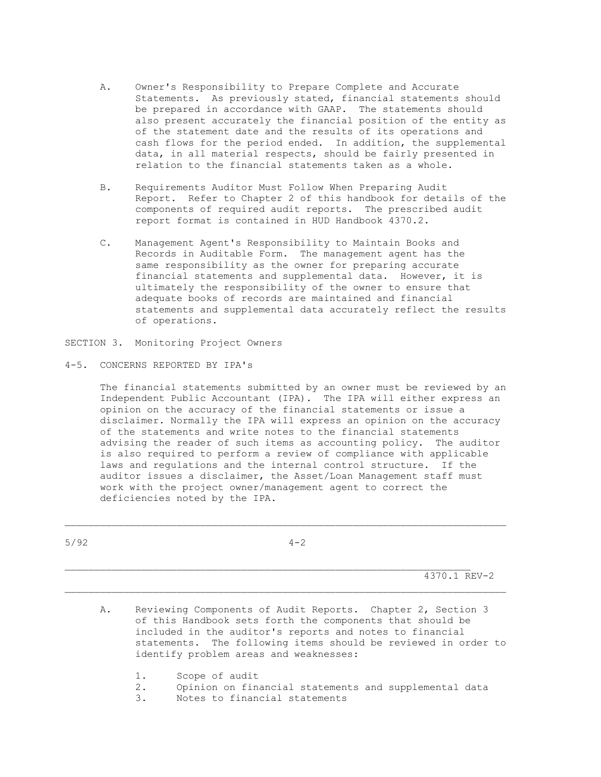- A. Owner's Responsibility to Prepare Complete and Accurate Statements. As previously stated, financial statements should be prepared in accordance with GAAP. The statements should also present accurately the financial position of the entity as of the statement date and the results of its operations and cash flows for the period ended. In addition, the supplemental data, in all material respects, should be fairly presented in relation to the financial statements taken as a whole.
- B. Requirements Auditor Must Follow When Preparing Audit Report. Refer to Chapter 2 of this handbook for details of the components of required audit reports. The prescribed audit report format is contained in HUD Handbook 4370.2.
- C. Management Agent's Responsibility to Maintain Books and Records in Auditable Form. The management agent has the same responsibility as the owner for preparing accurate financial statements and supplemental data. However, it is ultimately the responsibility of the owner to ensure that adequate books of records are maintained and financial statements and supplemental data accurately reflect the results of operations.
- SECTION 3. Monitoring Project Owners
- 4-5. CONCERNS REPORTED BY IPA's

 The financial statements submitted by an owner must be reviewed by an Independent Public Accountant (IPA). The IPA will either express an opinion on the accuracy of the financial statements or issue a disclaimer. Normally the IPA will express an opinion on the accuracy of the statements and write notes to the financial statements advising the reader of such items as accounting policy. The auditor is also required to perform a review of compliance with applicable laws and regulations and the internal control structure. If the auditor issues a disclaimer, the Asset/Loan Management staff must work with the project owner/management agent to correct the deficiencies noted by the IPA.

| 5/92 | $4 - 2$                                                                                                                                                                                                                                                                                          |
|------|--------------------------------------------------------------------------------------------------------------------------------------------------------------------------------------------------------------------------------------------------------------------------------------------------|
|      | 4370.1 REV-2                                                                                                                                                                                                                                                                                     |
| Α.   | Reviewing Components of Audit Reports. Chapter 2, Section 3<br>of this Handbook sets forth the components that should be<br>included in the auditor's reports and notes to financial<br>statements. The following items should be reviewed in order to<br>identify problem areas and weaknesses: |
|      | 1.<br>Scope of audit<br>2.<br>Opinion on financial statements and supplemental data<br>3.<br>Notes to financial statements                                                                                                                                                                       |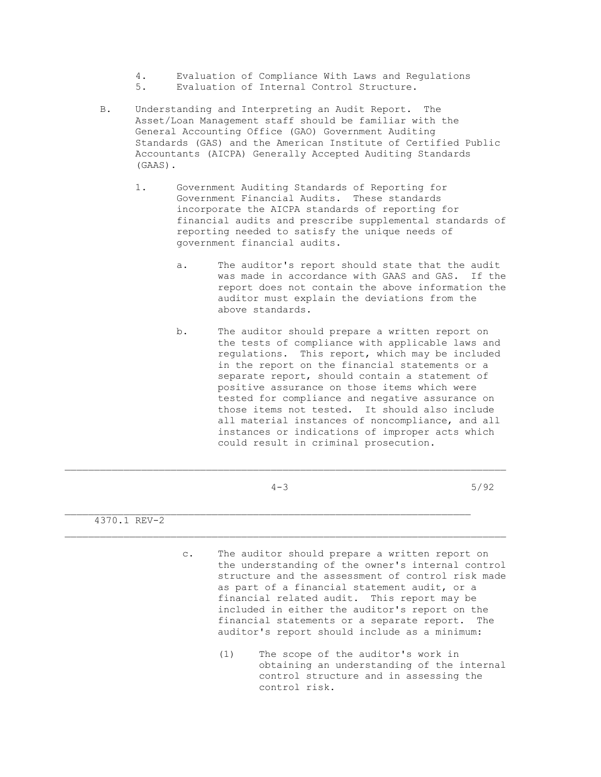- 4. Evaluation of Compliance With Laws and Regulations<br>5 Evaluation of Internal Control Structure
- Evaluation of Internal Control Structure.
- B. Understanding and Interpreting an Audit Report. The Asset/Loan Management staff should be familiar with the General Accounting Office (GAO) Government Auditing Standards (GAS) and the American Institute of Certified Public Accountants (AICPA) Generally Accepted Auditing Standards (GAAS).
	- 1. Government Auditing Standards of Reporting for Government Financial Audits. These standards incorporate the AICPA standards of reporting for financial audits and prescribe supplemental standards of reporting needed to satisfy the unique needs of government financial audits.
		- a. The auditor's report should state that the audit was made in accordance with GAAS and GAS. If the report does not contain the above information the auditor must explain the deviations from the above standards.
		- b. The auditor should prepare a written report on the tests of compliance with applicable laws and regulations. This report, which may be included in the report on the financial statements or a separate report, should contain a statement of positive assurance on those items which were tested for compliance and negative assurance on those items not tested. It should also include all material instances of noncompliance, and all instances or indications of improper acts which could result in criminal prosecution.

|              | $4 - 3$ | 5/92 |
|--------------|---------|------|
| 4370.1 REV-2 |         |      |
|              |         |      |

\_\_\_\_\_\_\_\_\_\_\_\_\_\_\_\_\_\_\_\_\_\_\_\_\_\_\_\_\_\_\_\_\_\_\_\_\_\_\_\_\_\_\_\_\_\_\_\_\_\_\_\_\_\_\_\_\_\_\_\_\_\_\_\_\_\_\_\_\_\_\_\_\_\_\_

- c. The auditor should prepare a written report on the understanding of the owner's internal control structure and the assessment of control risk made as part of a financial statement audit, or a financial related audit. This report may be included in either the auditor's report on the financial statements or a separate report. The auditor's report should include as a minimum:
	- (1) The scope of the auditor's work in obtaining an understanding of the internal control structure and in assessing the control risk.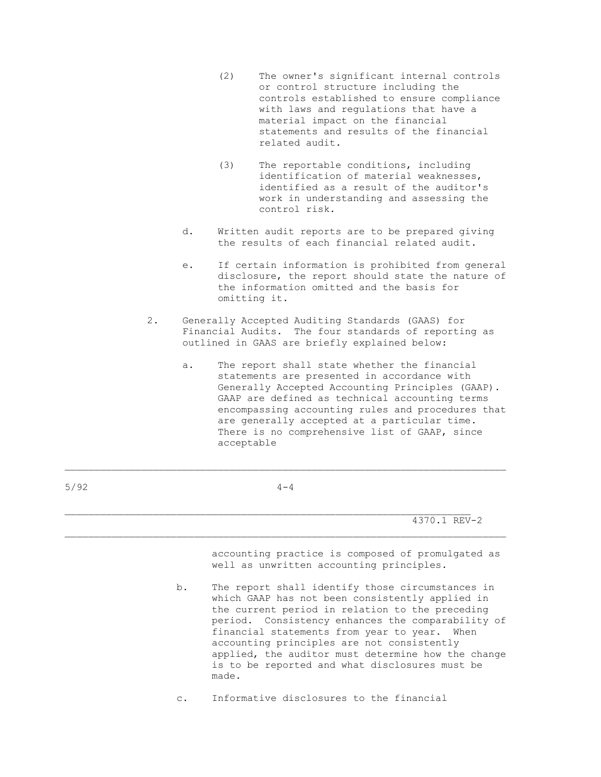- (2) The owner's significant internal controls or control structure including the controls established to ensure compliance with laws and regulations that have a material impact on the financial statements and results of the financial related audit.
- (3) The reportable conditions, including identification of material weaknesses, identified as a result of the auditor's work in understanding and assessing the control risk.
- d. Written audit reports are to be prepared giving the results of each financial related audit.
- e. If certain information is prohibited from general disclosure, the report should state the nature of the information omitted and the basis for omitting it.
- 2. Generally Accepted Auditing Standards (GAAS) for Financial Audits. The four standards of reporting as outlined in GAAS are briefly explained below:
	- a. The report shall state whether the financial statements are presented in accordance with Generally Accepted Accounting Principles (GAAP). GAAP are defined as technical accounting terms encompassing accounting rules and procedures that are generally accepted at a particular time. There is no comprehensive list of GAAP, since acceptable

| 5/92 |                | $4 - 4$                                                                                                                                                                                                                                                                                                                                                                                                                    |
|------|----------------|----------------------------------------------------------------------------------------------------------------------------------------------------------------------------------------------------------------------------------------------------------------------------------------------------------------------------------------------------------------------------------------------------------------------------|
|      |                | 4370.1 REV-2                                                                                                                                                                                                                                                                                                                                                                                                               |
|      |                | accounting practice is composed of promulgated as<br>well as unwritten accounting principles.                                                                                                                                                                                                                                                                                                                              |
|      | b.             | The report shall identify those circumstances in<br>which GAAP has not been consistently applied in<br>the current period in relation to the preceding<br>period. Consistency enhances the comparability of<br>financial statements from year to year. When<br>accounting principles are not consistently<br>applied, the auditor must determine how the change<br>is to be reported and what disclosures must be<br>made. |
|      | $\mathsf{C}$ . | Informative disclosures to the financial                                                                                                                                                                                                                                                                                                                                                                                   |

\_\_\_\_\_\_\_\_\_\_\_\_\_\_\_\_\_\_\_\_\_\_\_\_\_\_\_\_\_\_\_\_\_\_\_\_\_\_\_\_\_\_\_\_\_\_\_\_\_\_\_\_\_\_\_\_\_\_\_\_\_\_\_\_\_\_\_\_\_\_\_\_\_\_\_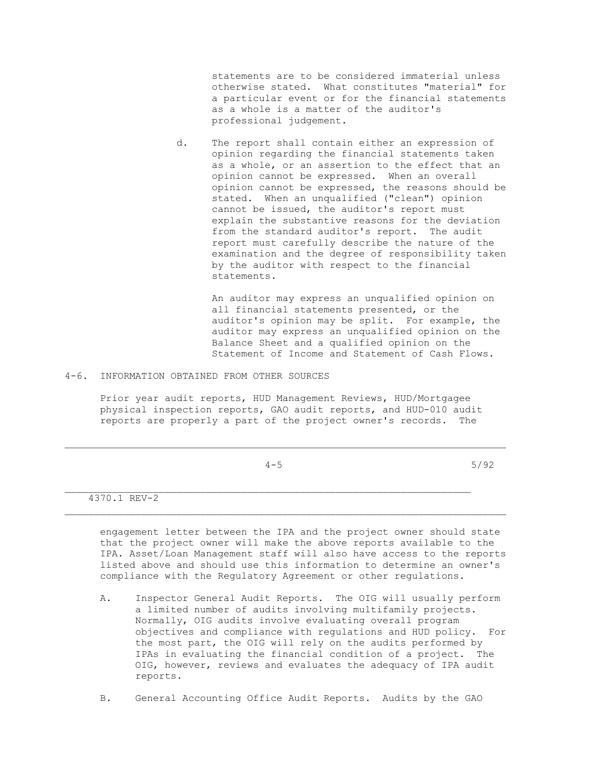statements are to be considered immaterial unless otherwise stated. What constitutes "material" for a particular event or for the financial statements as a whole is a matter of the auditor's professional judgement.

 d. The report shall contain either an expression of opinion regarding the financial statements taken as a whole, or an assertion to the effect that an opinion cannot be expressed. When an overall opinion cannot be expressed, the reasons should be stated. When an unqualified ("clean") opinion cannot be issued, the auditor's report must explain the substantive reasons for the deviation from the standard auditor's report. The audit report must carefully describe the nature of the examination and the degree of responsibility taken by the auditor with respect to the financial statements.

> An auditor may express an unqualified opinion on all financial statements presented, or the auditor's opinion may be split. For example, the auditor may express an unqualified opinion on the Balance Sheet and a qualified opinion on the Statement of Income and Statement of Cash Flows.

4-6. INFORMATION OBTAINED FROM OTHER SOURCES

 Prior year audit reports, HUD Management Reviews, HUD/Mortgagee physical inspection reports, GAO audit reports, and HUD-010 audit reports are properly a part of the project owner's records. The

|              | $4 - 5$ | 5/92 |
|--------------|---------|------|
|              |         |      |
| 4370.1 REV-2 |         |      |

 engagement letter between the IPA and the project owner should state that the project owner will make the above reports available to the IPA. Asset/Loan Management staff will also have access to the reports listed above and should use this information to determine an owner's compliance with the Regulatory Agreement or other regulations.

- A. Inspector General Audit Reports. The OIG will usually perform a limited number of audits involving multifamily projects. Normally, OIG audits involve evaluating overall program objectives and compliance with regulations and HUD policy. For the most part, the OIG will rely on the audits performed by IPAs in evaluating the financial condition of a project. The OIG, however, reviews and evaluates the adequacy of IPA audit reports.
- B. General Accounting Office Audit Reports. Audits by the GAO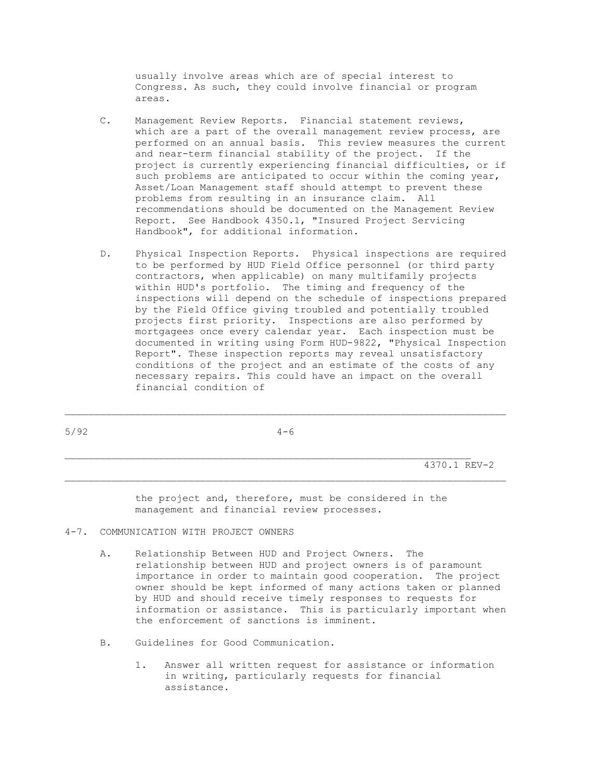usually involve areas which are of special interest to Congress. As such, they could involve financial or program areas.

- C. Management Review Reports. Financial statement reviews, which are a part of the overall management review process, are performed on an annual basis. This review measures the current and near-term financial stability of the project. If the project is currently experiencing financial difficulties, or if such problems are anticipated to occur within the coming year, Asset/Loan Management staff should attempt to prevent these problems from resulting in an insurance claim. All recommendations should be documented on the Management Review Report. See Handbook 4350.1, "Insured Project Servicing Handbook", for additional information.
- D. Physical Inspection Reports. Physical inspections are required to be performed by HUD Field Office personnel (or third party contractors, when applicable) on many multifamily projects within HUD's portfolio. The timing and frequency of the inspections will depend on the schedule of inspections prepared by the Field Office giving troubled and potentially troubled projects first priority. Inspections are also performed by mortgagees once every calendar year. Each inspection must be documented in writing using Form HUD-9822, "Physical Inspection Report". These inspection reports may reveal unsatisfactory conditions of the project and an estimate of the costs of any necessary repairs. This could have an impact on the overall financial condition of

| 5/92 | $4 - 6$ |                |  |
|------|---------|----------------|--|
|      |         |                |  |
|      |         | $10001$ $1001$ |  |

 4370.1 REV-2 \_\_\_\_\_\_\_\_\_\_\_\_\_\_\_\_\_\_\_\_\_\_\_\_\_\_\_\_\_\_\_\_\_\_\_\_\_\_\_\_\_\_\_\_\_\_\_\_\_\_\_\_\_\_\_\_\_\_\_\_\_\_\_\_\_\_\_\_\_\_\_\_\_\_\_

> the project and, therefore, must be considered in the management and financial review processes.

- 4-7. COMMUNICATION WITH PROJECT OWNERS
	- A. Relationship Between HUD and Project Owners. The relationship between HUD and project owners is of paramount importance in order to maintain good cooperation. The project owner should be kept informed of many actions taken or planned by HUD and should receive timely responses to requests for information or assistance. This is particularly important when the enforcement of sanctions is imminent.
	- B. Guidelines for Good Communication.
		- 1. Answer all written request for assistance or information in writing, particularly requests for financial assistance.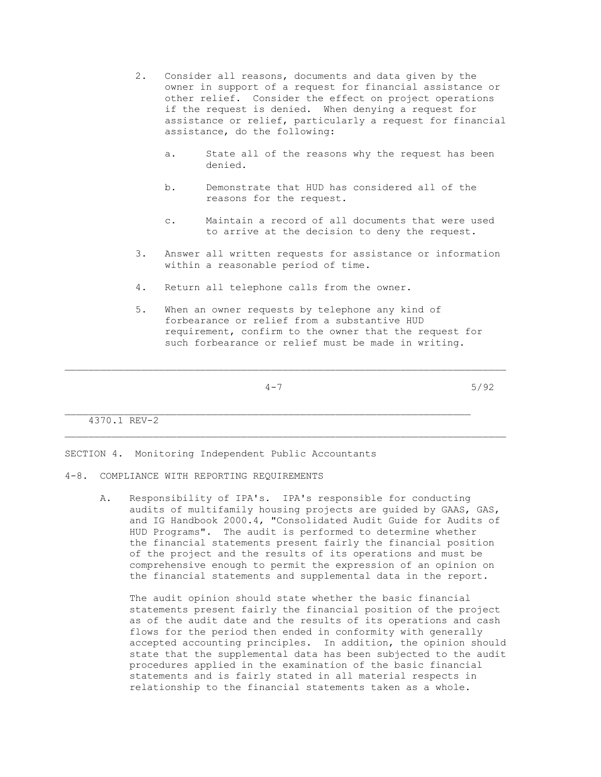- 2. Consider all reasons, documents and data given by the owner in support of a request for financial assistance or other relief. Consider the effect on project operations if the request is denied. When denying a request for assistance or relief, particularly a request for financial assistance, do the following:
	- a. State all of the reasons why the request has been denied.
	- b. Demonstrate that HUD has considered all of the reasons for the request.
	- c. Maintain a record of all documents that were used to arrive at the decision to deny the request.
- 3. Answer all written requests for assistance or information within a reasonable period of time.
- 4. Return all telephone calls from the owner.
- 5. When an owner requests by telephone any kind of forbearance or relief from a substantive HUD requirement, confirm to the owner that the request for such forbearance or relief must be made in writing.

\_\_\_\_\_\_\_\_\_\_\_\_\_\_\_\_\_\_\_\_\_\_\_\_\_\_\_\_\_\_\_\_\_\_\_\_\_\_\_\_\_\_\_\_\_\_\_\_\_\_\_\_\_\_\_\_\_\_\_\_\_\_\_\_\_\_\_\_\_

\_\_\_\_\_\_\_\_\_\_\_\_\_\_\_\_\_\_\_\_\_\_\_\_\_\_\_\_\_\_\_\_\_\_\_\_\_\_\_\_\_\_\_\_\_\_\_\_\_\_\_\_\_\_\_\_\_\_\_\_\_\_\_\_\_\_\_\_\_\_\_\_\_\_\_

4-7 5/92

4370.1 REV-2

SECTION 4. Monitoring Independent Public Accountants

- 4-8. COMPLIANCE WITH REPORTING REQUIREMENTS
	- A. Responsibility of IPA's. IPA's responsible for conducting audits of multifamily housing projects are guided by GAAS, GAS, and IG Handbook 2000.4, "Consolidated Audit Guide for Audits of HUD Programs". The audit is performed to determine whether the financial statements present fairly the financial position of the project and the results of its operations and must be comprehensive enough to permit the expression of an opinion on the financial statements and supplemental data in the report.

 The audit opinion should state whether the basic financial statements present fairly the financial position of the project as of the audit date and the results of its operations and cash flows for the period then ended in conformity with generally accepted accounting principles. In addition, the opinion should state that the supplemental data has been subjected to the audit procedures applied in the examination of the basic financial statements and is fairly stated in all material respects in relationship to the financial statements taken as a whole.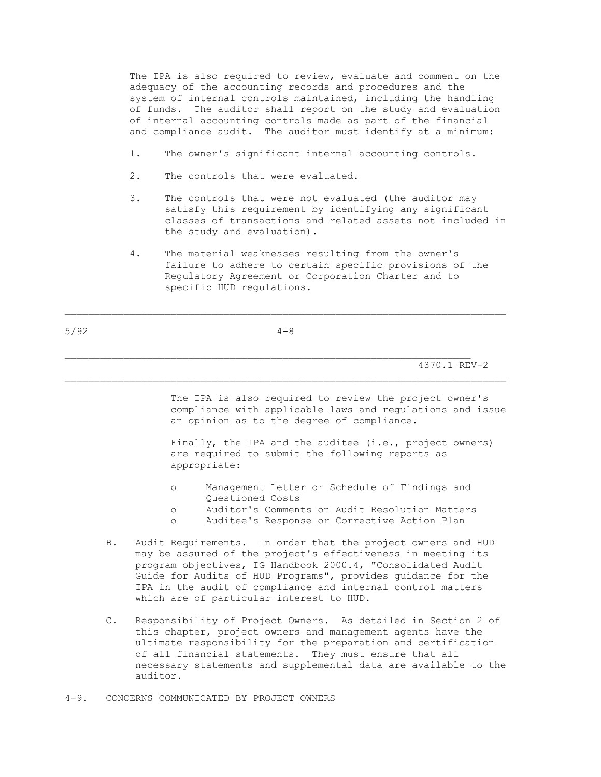The IPA is also required to review, evaluate and comment on the adequacy of the accounting records and procedures and the system of internal controls maintained, including the handling of funds. The auditor shall report on the study and evaluation of internal accounting controls made as part of the financial and compliance audit. The auditor must identify at a minimum:

- 1. The owner's significant internal accounting controls.
- 2. The controls that were evaluated.
- 3. The controls that were not evaluated (the auditor may satisfy this requirement by identifying any significant classes of transactions and related assets not included in the study and evaluation).
- 4. The material weaknesses resulting from the owner's failure to adhere to certain specific provisions of the Regulatory Agreement or Corporation Charter and to specific HUD regulations.

| 5/92 |  | $4 - 8$ |
|------|--|---------|
|      |  |         |

\_\_\_\_\_\_\_\_\_\_\_\_\_\_\_\_\_\_\_\_\_\_\_\_\_\_\_\_\_\_\_\_\_\_\_\_\_\_\_\_\_\_\_\_\_\_\_\_\_\_\_\_\_\_\_\_\_\_\_\_\_\_\_\_\_\_\_\_\_\_\_\_\_\_\_

#### 4370.1 REV-2

 The IPA is also required to review the project owner's compliance with applicable laws and regulations and issue an opinion as to the degree of compliance.

Finally, the IPA and the auditee (i.e., project owners) are required to submit the following reports as appropriate:

- o Management Letter or Schedule of Findings and Questioned Costs
- o Auditor's Comments on Audit Resolution Matters
- o Auditee's Response or Corrective Action Plan
- B. Audit Requirements. In order that the project owners and HUD may be assured of the project's effectiveness in meeting its program objectives, IG Handbook 2000.4, "Consolidated Audit Guide for Audits of HUD Programs", provides guidance for the IPA in the audit of compliance and internal control matters which are of particular interest to HUD.
- C. Responsibility of Project Owners. As detailed in Section 2 of this chapter, project owners and management agents have the ultimate responsibility for the preparation and certification of all financial statements. They must ensure that all necessary statements and supplemental data are available to the auditor.
- 4-9. CONCERNS COMMUNICATED BY PROJECT OWNERS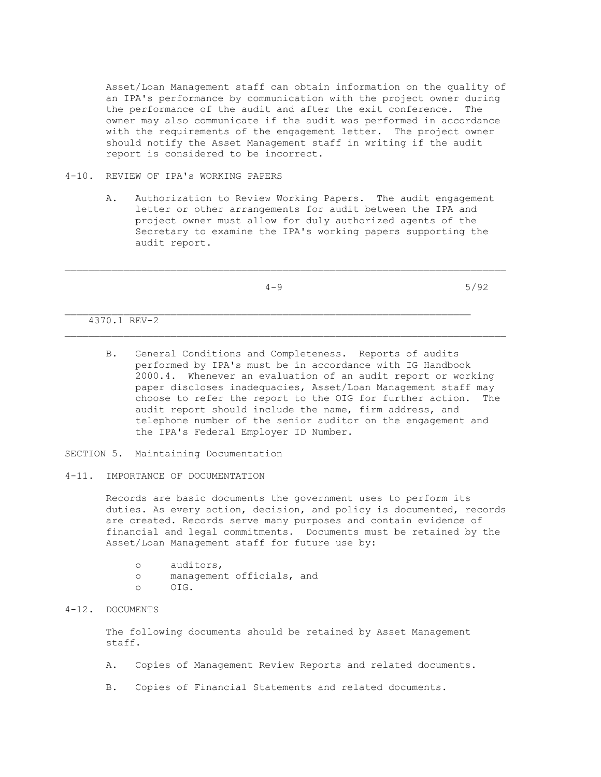Asset/Loan Management staff can obtain information on the quality of an IPA's performance by communication with the project owner during the performance of the audit and after the exit conference. The owner may also communicate if the audit was performed in accordance with the requirements of the engagement letter. The project owner should notify the Asset Management staff in writing if the audit report is considered to be incorrect.

## 4-10. REVIEW OF IPA's WORKING PAPERS

 A. Authorization to Review Working Papers. The audit engagement letter or other arrangements for audit between the IPA and project owner must allow for duly authorized agents of the Secretary to examine the IPA's working papers supporting the audit report.

\_\_\_\_\_\_\_\_\_\_\_\_\_\_\_\_\_\_\_\_\_\_\_\_\_\_\_\_\_\_\_\_\_\_\_\_\_\_\_\_\_\_\_\_\_\_\_\_\_\_\_\_\_\_\_\_\_\_\_\_\_\_\_\_\_\_\_\_\_\_\_\_\_\_\_

 $4-9$  5/92

4370.1 REV-2

 B. General Conditions and Completeness. Reports of audits performed by IPA's must be in accordance with IG Handbook 2000.4. Whenever an evaluation of an audit report or working paper discloses inadequacies, Asset/Loan Management staff may choose to refer the report to the OIG for further action. The audit report should include the name, firm address, and telephone number of the senior auditor on the engagement and the IPA's Federal Employer ID Number.

SECTION 5. Maintaining Documentation

4-11. IMPORTANCE OF DOCUMENTATION

 Records are basic documents the government uses to perform its duties. As every action, decision, and policy is documented, records are created. Records serve many purposes and contain evidence of financial and legal commitments. Documents must be retained by the Asset/Loan Management staff for future use by:

 o auditors, o management officials, and o OIG.

## 4-12. DOCUMENTS

 The following documents should be retained by Asset Management staff.

- A. Copies of Management Review Reports and related documents.
- B. Copies of Financial Statements and related documents.